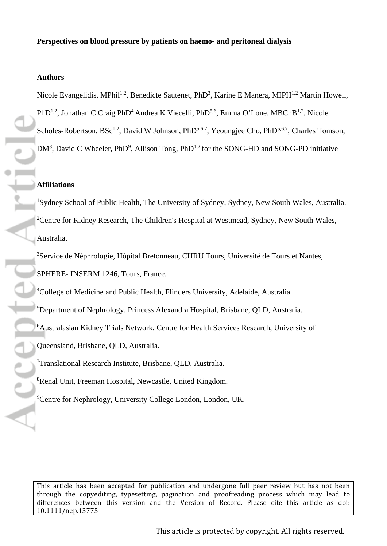## **Authors**

Nicole Evangelidis, MPhil<sup>1,2</sup>, Benedicte Sautenet, PhD<sup>3</sup>, Karine E Manera, MIPH<sup>1,2</sup> Martin Howell, PhD<sup>1,2</sup>, Jonathan C Craig PhD<sup>4</sup> Andrea K Viecelli, PhD<sup>5,6</sup>, Emma O'Lone, MBChB<sup>1,2</sup>, Nicole Scholes-Robertson, BSc<sup>1,2</sup>, David W Johnson, PhD<sup>5,6,7</sup>, Yeoungjee Cho, PhD<sup>5,6,7</sup>, Charles Tomson,  $DM^8$ , David C Wheeler, PhD<sup>9</sup>, Allison Tong, PhD<sup>1,2</sup> for the SONG-HD and SONG-PD initiative

#### **Affiliations**

<sup>1</sup>Sydney School of Public Health, The University of Sydney, Sydney, New South Wales, Australia. <sup>2</sup>Centre for Kidney Research, The Children's Hospital at Westmead, Sydney, New South Wales, Australia.

<sup>3</sup>Service de Néphrologie, Hôpital Bretonneau, CHRU Tours, Université de Tours et Nantes, SPHERE- INSERM 1246, Tours, France.

<sup>4</sup>College of Medicine and Public Health, Flinders University, Adelaide, Australia

5 Department of Nephrology, Princess Alexandra Hospital, Brisbane, QLD, Australia.

6 Australasian Kidney Trials Network, Centre for Health Services Research, University of

Queensland, Brisbane, QLD, Australia.

<sup>7</sup>Translational Research Institute, Brisbane, QLD, Australia.

8 Renal Unit, Freeman Hospital, Newcastle, United Kingdom.

<sup>9</sup>Centre for Nephrology, University College London, London, UK.

[This article has been accepted for publication and undergone full peer review but has not been](http://dx.doi.org/10.1111/nep.13775)  [through the copyediting, typesetting, pagination and proofreading process which may lead to](http://dx.doi.org/10.1111/nep.13775)  [differences between this version and the Version of Record. Please cite this article as doi:](http://dx.doi.org/10.1111/nep.13775)  [10.1111/nep.13775](http://dx.doi.org/10.1111/nep.13775)

This article is protected by copyright. All rights reserved.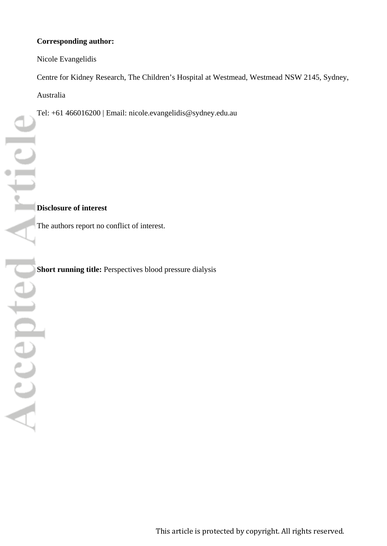# **Corresponding author:**

Nicole Evangelidis

Centre for Kidney Research, The Children's Hospital at Westmead, Westmead NSW 2145, Sydney, Australia

Tel: +61 466016200 | Email: nicole.evangelidis@sydney.edu.au

The authors report no conflict of interest.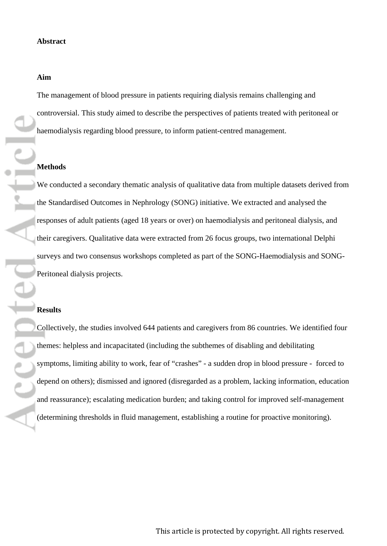### **Aim**

The management of blood pressure in patients requiring dialysis remains challenging and controversial. This study aimed to describe the perspectives of patients treated with peritoneal or haemodialysis regarding blood pressure, to inform patient-centred management.

We conducted a secondary thematic analysis of qualitative data from multiple datasets derived from the Standardised Outcomes in Nephrology (SONG) initiative. We extracted and analysed the responses of adult patients (aged 18 years or over) on haemodialysis and peritoneal dialysis, and their caregivers. Qualitative data were extracted from 26 focus groups, two international Delphi surveys and two consensus workshops completed as part of the SONG-Haemodialysis and SONG-

Collectively, the studies involved 644 patients and caregivers from 86 countries. We identified four themes: helpless and incapacitated (including the subthemes of disabling and debilitating symptoms, limiting ability to work, fear of "crashes" - a sudden drop in blood pressure - forced to depend on others); dismissed and ignored (disregarded as a problem, lacking information, education and reassurance); escalating medication burden; and taking control for improved self-management (determining thresholds in fluid management, establishing a routine for proactive monitoring).

**Princ Methods** Peritoneal dialysis projects. **Results**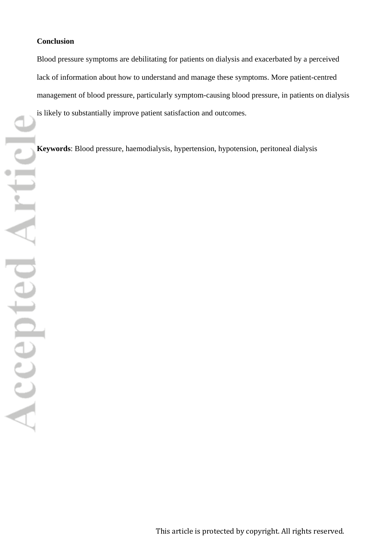### **Conclusion**

Blood pressure symptoms are debilitating for patients on dialysis and exacerbated by a perceived lack of information about how to understand and manage these symptoms. More patient-centred management of blood pressure, particularly symptom-causing blood pressure, in patients on dialysis is likely to substantially improve patient satisfaction and outcomes.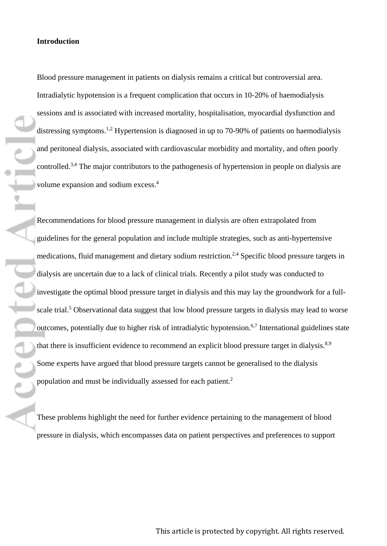#### **Introduction**

ortic

 $\frac{1}{\sqrt{2}}$ 

Blood pressure management in patients on dialysis remains a critical but controversial area. Intradialytic hypotension is a frequent complication that occurs in 10-20% of haemodialysis sessions and is associated with increased mortality, hospitalisation, myocardial dysfunction and distressing symptoms.<sup>1,2</sup> Hypertension is diagnosed in up to 70-90% of patients on haemodialysis and peritoneal dialysis, associated with cardiovascular morbidity and mortality, and often poorly controlled.<sup>3,4</sup> The major contributors to the pathogenesis of hypertension in people on dialysis are volume expansion and sodium excess. 4

Recommendations for blood pressure management in dialysis are often extrapolated from guidelines for the general population and include multiple strategies, such as anti-hypertensive medications, fluid management and dietary sodium restriction.2,4 Specific blood pressure targets in dialysis are uncertain due to a lack of clinical trials. Recently a pilot study was conducted to investigate the optimal blood pressure target in dialysis and this may lay the groundwork for a fullscale trial.<sup>5</sup> Observational data suggest that low blood pressure targets in dialysis may lead to worse outcomes, potentially due to higher risk of intradialytic hypotension.<sup>6,7</sup> International guidelines state that there is insufficient evidence to recommend an explicit blood pressure target in dialysis.<sup>8,9</sup> Some experts have argued that blood pressure targets cannot be generalised to the dialysis population and must be individually assessed for each patient.2

These problems highlight the need for further evidence pertaining to the management of blood pressure in dialysis, which encompasses data on patient perspectives and preferences to support

This article is protected by copyright. All rights reserved.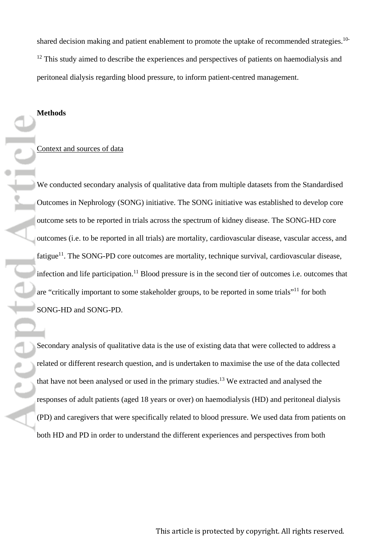shared decision making and patient enablement to promote the uptake of recommended strategies.<sup>10-</sup>  $12$  This study aimed to describe the experiences and perspectives of patients on haemodialysis and peritoneal dialysis regarding blood pressure, to inform patient-centred management.

# **Methods**

### Context and sources of data

We conducted secondary analysis of qualitative data from multiple datasets from the Standardised Outcomes in Nephrology (SONG) initiative. The SONG initiative was established to develop core outcome sets to be reported in trials across the spectrum of kidney disease. The SONG-HD core outcomes (i.e. to be reported in all trials) are mortality, cardiovascular disease, vascular access, and fatigue<sup>11</sup>. The SONG-PD core outcomes are mortality, technique survival, cardiovascular disease, infection and life participation.<sup>11</sup> Blood pressure is in the second tier of outcomes i.e. outcomes that are "critically important to some stakeholder groups, to be reported in some trials"<sup>11</sup> for both SONG-HD and SONG-PD.

Secondary analysis of qualitative data is the use of existing data that were collected to address a related or different research question, and is undertaken to maximise the use of the data collected that have not been analysed or used in the primary studies. <sup>13</sup> We extracted and analysed the responses of adult patients (aged 18 years or over) on haemodialysis (HD) and peritoneal dialysis (PD) and caregivers that were specifically related to blood pressure. We used data from patients on both HD and PD in order to understand the different experiences and perspectives from both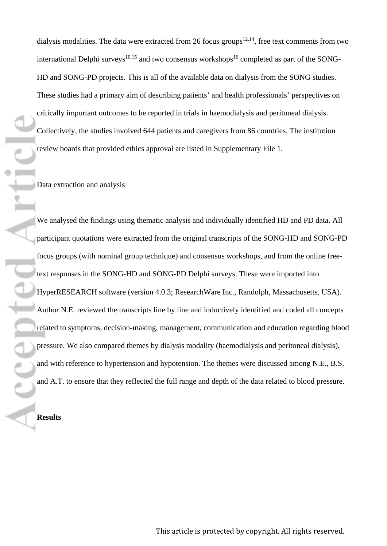dialysis modalities. The data were extracted from 26 focus groups<sup>12,14</sup>, free text comments from two international Delphi surveys<sup>10,15</sup> and two consensus workshops<sup>16</sup> completed as part of the SONG-HD and SONG-PD projects. This is all of the available data on dialysis from the SONG studies. These studies had a primary aim of describing patients' and health professionals' perspectives on critically important outcomes to be reported in trials in haemodialysis and peritoneal dialysis. Collectively, the studies involved 644 patients and caregivers from 86 countries. The institution review boards that provided ethics approval are listed in Supplementary File 1.

## Data extraction and analysis

**THE** 

We analysed the findings using thematic analysis and individually identified HD and PD data. All participant quotations were extracted from the original transcripts of the SONG-HD and SONG-PD focus groups (with nominal group technique) and consensus workshops, and from the online freetext responses in the SONG-HD and SONG-PD Delphi surveys. These were imported into HyperRESEARCH software (version 4.0.3; ResearchWare Inc., Randolph, Massachusetts, USA). Author N.E. reviewed the transcripts line by line and inductively identified and coded all concepts related to symptoms, decision-making, management, communication and education regarding blood pressure. We also compared themes by dialysis modality (haemodialysis and peritoneal dialysis), and with reference to hypertension and hypotension. The themes were discussed among N.E., B.S. and A.T. to ensure that they reflected the full range and depth of the data related to blood pressure.

**Results**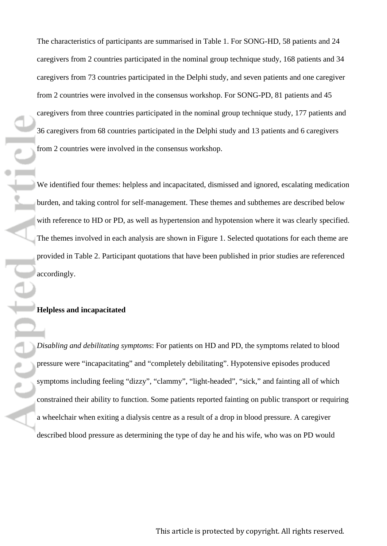The characteristics of participants are summarised in Table 1. For SONG-HD, 58 patients and 24 caregivers from 2 countries participated in the nominal group technique study, 168 patients and 34 caregivers from 73 countries participated in the Delphi study, and seven patients and one caregiver from 2 countries were involved in the consensus workshop. For SONG-PD, 81 patients and 45 caregivers from three countries participated in the nominal group technique study, 177 patients and 36 caregivers from 68 countries participated in the Delphi study and 13 patients and 6 caregivers from 2 countries were involved in the consensus workshop.

We identified four themes: helpless and incapacitated, dismissed and ignored, escalating medication burden, and taking control for self-management. These themes and subthemes are described below with reference to HD or PD, as well as hypertension and hypotension where it was clearly specified. The themes involved in each analysis are shown in Figure 1. Selected quotations for each theme are provided in Table 2. Participant quotations that have been published in prior studies are referenced accordingly.

# **Helpless and incapacitated**

*Disabling and debilitating symptoms*: For patients on HD and PD, the symptoms related to blood pressure were "incapacitating" and "completely debilitating". Hypotensive episodes produced symptoms including feeling "dizzy", "clammy", "light-headed", "sick," and fainting all of which constrained their ability to function. Some patients reported fainting on public transport or requiring a wheelchair when exiting a dialysis centre as a result of a drop in blood pressure. A caregiver described blood pressure as determining the type of day he and his wife, who was on PD would

This article is protected by copyright. All rights reserved.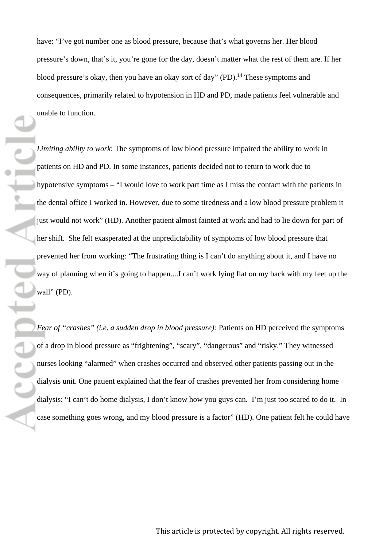have: "I've got number one as blood pressure, because that's what governs her. Her blood pressure's down, that's it, you're gone for the day, doesn't matter what the rest of them are. If her blood pressure's okay, then you have an okay sort of day" (PD).<sup>14</sup> These symptoms and consequences, primarily related to hypotension in HD and PD, made patients feel vulnerable and unable to function.

*Limiting ability to work*: The symptoms of low blood pressure impaired the ability to work in patients on HD and PD. In some instances, patients decided not to return to work due to hypotensive symptoms – "I would love to work part time as I miss the contact with the patients in the dental office I worked in. However, due to some tiredness and a low blood pressure problem it just would not work" (HD). Another patient almost fainted at work and had to lie down for part of her shift. She felt exasperated at the unpredictability of symptoms of low blood pressure that prevented her from working: "The frustrating thing is I can't do anything about it, and I have no way of planning when it's going to happen....I can't work lying flat on my back with my feet up the wall" (PD).

urtir.

*Fear of "crashes" (i.e. a sudden drop in blood pressure):* Patients on HD perceived the symptoms of a drop in blood pressure as "frightening", "scary", "dangerous" and "risky." They witnessed nurses looking "alarmed" when crashes occurred and observed other patients passing out in the dialysis unit. One patient explained that the fear of crashes prevented her from considering home dialysis: "I can't do home dialysis, I don't know how you guys can. I'm just too scared to do it. In case something goes wrong, and my blood pressure is a factor" (HD). One patient felt he could have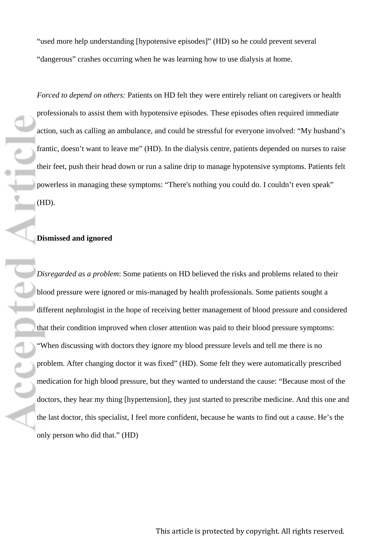"used more help understanding [hypotensive episodes]" (HD) so he could prevent several "dangerous" crashes occurring when he was learning how to use dialysis at home.

*Forced to depend on others:* Patients on HD felt they were entirely reliant on caregivers or health professionals to assist them with hypotensive episodes. These episodes often required immediate action, such as calling an ambulance, and could be stressful for everyone involved: "My husband's frantic, doesn't want to leave me" (HD). In the dialysis centre, patients depended on nurses to raise their feet, push their head down or run a saline drip to manage hypotensive symptoms. Patients felt powerless in managing these symptoms: "There's nothing you could do. I couldn't even speak"

# **Dismissed and ignored**

*Disregarded as a problem*: Some patients on HD believed the risks and problems related to their blood pressure were ignored or mis-managed by health professionals. Some patients sought a different nephrologist in the hope of receiving better management of blood pressure and considered that their condition improved when closer attention was paid to their blood pressure symptoms: "When discussing with doctors they ignore my blood pressure levels and tell me there is no problem. After changing doctor it was fixed" (HD). Some felt they were automatically prescribed medication for high blood pressure, but they wanted to understand the cause: "Because most of the doctors, they hear my thing [hypertension], they just started to prescribe medicine. And this one and the last doctor, this specialist, I feel more confident, because he wants to find out a cause. He's the only person who did that." (HD)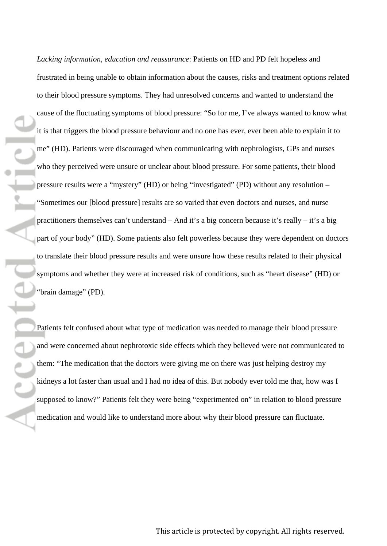mfil

*Lacking information, education and reassurance*: Patients on HD and PD felt hopeless and frustrated in being unable to obtain information about the causes, risks and treatment options related to their blood pressure symptoms. They had unresolved concerns and wanted to understand the cause of the fluctuating symptoms of blood pressure: "So for me, I've always wanted to know what it is that triggers the blood pressure behaviour and no one has ever, ever been able to explain it to me" (HD). Patients were discouraged when communicating with nephrologists, GPs and nurses who they perceived were unsure or unclear about blood pressure. For some patients, their blood pressure results were a "mystery" (HD) or being "investigated" (PD) without any resolution – "Sometimes our [blood pressure] results are so varied that even doctors and nurses, and nurse practitioners themselves can't understand – And it's a big concern because it's really – it's a big part of your body" (HD). Some patients also felt powerless because they were dependent on doctors to translate their blood pressure results and were unsure how these results related to their physical symptoms and whether they were at increased risk of conditions, such as "heart disease" (HD) or "brain damage" (PD).

Patients felt confused about what type of medication was needed to manage their blood pressure and were concerned about nephrotoxic side effects which they believed were not communicated to them: "The medication that the doctors were giving me on there was just helping destroy my kidneys a lot faster than usual and I had no idea of this. But nobody ever told me that, how was I supposed to know?" Patients felt they were being "experimented on" in relation to blood pressure medication and would like to understand more about why their blood pressure can fluctuate.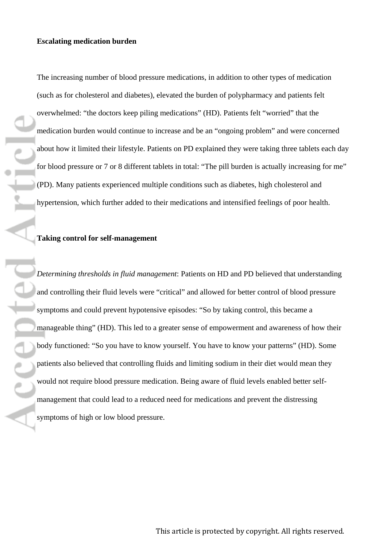The increasing number of blood pressure medications, in addition to other types of medication (such as for cholesterol and diabetes), elevated the burden of polypharmacy and patients felt overwhelmed: "the doctors keep piling medications" (HD). Patients felt "worried" that the medication burden would continue to increase and be an "ongoing problem" and were concerned about how it limited their lifestyle. Patients on PD explained they were taking three tablets each day for blood pressure or 7 or 8 different tablets in total: "The pill burden is actually increasing for me" (PD). Many patients experienced multiple conditions such as diabetes, high cholesterol and hypertension, which further added to their medications and intensified feelings of poor health.

# **Taking control for self-management**

*Determining thresholds in fluid management*: Patients on HD and PD believed that understanding and controlling their fluid levels were "critical" and allowed for better control of blood pressure symptoms and could prevent hypotensive episodes: "So by taking control, this became a manageable thing" (HD). This led to a greater sense of empowerment and awareness of how their body functioned: "So you have to know yourself. You have to know your patterns" (HD). Some patients also believed that controlling fluids and limiting sodium in their diet would mean they would not require blood pressure medication. Being aware of fluid levels enabled better selfmanagement that could lead to a reduced need for medications and prevent the distressing symptoms of high or low blood pressure.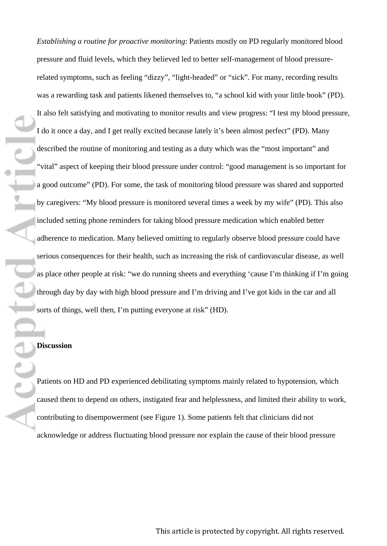*Establishing a routine for proactive monitoring*: Patients mostly on PD regularly monitored blood pressure and fluid levels, which they believed led to better self-management of blood pressurerelated symptoms, such as feeling "dizzy", "light-headed" or "sick". For many, recording results was a rewarding task and patients likened themselves to, "a school kid with your little book" (PD). It also felt satisfying and motivating to monitor results and view progress: "I test my blood pressure, I do it once a day, and I get really excited because lately it's been almost perfect" (PD). Many described the routine of monitoring and testing as a duty which was the "most important" and "vital" aspect of keeping their blood pressure under control: "good management is so important for a good outcome" (PD). For some, the task of monitoring blood pressure was shared and supported by caregivers: "My blood pressure is monitored several times a week by my wife" (PD). This also included setting phone reminders for taking blood pressure medication which enabled better adherence to medication. Many believed omitting to regularly observe blood pressure could have serious consequences for their health, such as increasing the risk of cardiovascular disease, as well as place other people at risk: "we do running sheets and everything 'cause I'm thinking if I'm going through day by day with high blood pressure and I'm driving and I've got kids in the car and all sorts of things, well then, I'm putting everyone at risk" (HD).

### **Discussion**

Patients on HD and PD experienced debilitating symptoms mainly related to hypotension, which caused them to depend on others, instigated fear and helplessness, and limited their ability to work, contributing to disempowerment (see Figure 1). Some patients felt that clinicians did not acknowledge or address fluctuating blood pressure nor explain the cause of their blood pressure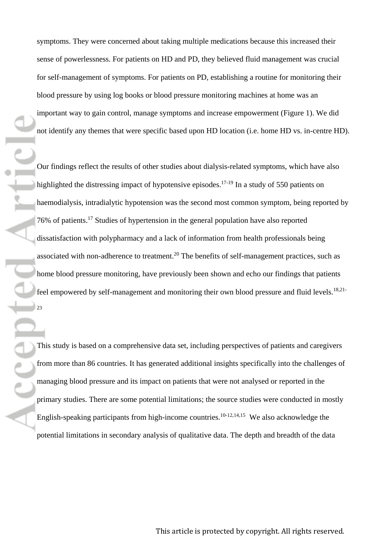symptoms. They were concerned about taking multiple medications because this increased their sense of powerlessness. For patients on HD and PD, they believed fluid management was crucial for self-management of symptoms. For patients on PD, establishing a routine for monitoring their blood pressure by using log books or blood pressure monitoring machines at home was an important way to gain control, manage symptoms and increase empowerment (Figure 1). We did not identify any themes that were specific based upon HD location (i.e. home HD vs. in-centre HD).

Our findings reflect the results of other studies about dialysis-related symptoms, which have also highlighted the distressing impact of hypotensive episodes.<sup>17-19</sup> In a study of 550 patients on haemodialysis, intradialytic hypotension was the second most common symptom, being reported by 76% of patients.<sup>17</sup> Studies of hypertension in the general population have also reported dissatisfaction with polypharmacy and a lack of information from health professionals being associated with non-adherence to treatment.<sup>20</sup> The benefits of self-management practices, such as home blood pressure monitoring, have previously been shown and echo our findings that patients feel empowered by self-management and monitoring their own blood pressure and fluid levels.<sup>18,21-</sup> 23

urtie

This study is based on a comprehensive data set, including perspectives of patients and caregivers from more than 86 countries. It has generated additional insights specifically into the challenges of managing blood pressure and its impact on patients that were not analysed or reported in the primary studies. There are some potential limitations; the source studies were conducted in mostly English-speaking participants from high-income countries.<sup>10-12,14,15</sup> We also acknowledge the potential limitations in secondary analysis of qualitative data. The depth and breadth of the data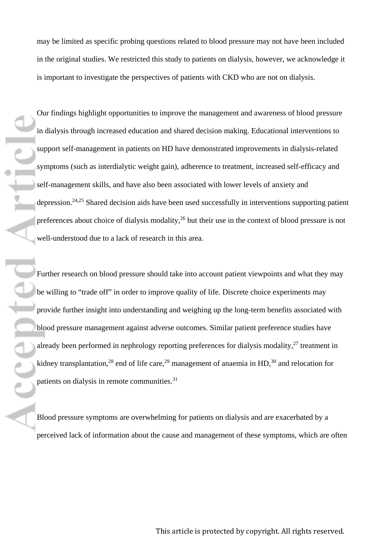may be limited as specific probing questions related to blood pressure may not have been included in the original studies. We restricted this study to patients on dialysis, however, we acknowledge it is important to investigate the perspectives of patients with CKD who are not on dialysis.

Our findings highlight opportunities to improve the management and awareness of blood pressure in dialysis through increased education and shared decision making. Educational interventions to support self-management in patients on HD have demonstrated improvements in dialysis-related symptoms (such as interdialytic weight gain), adherence to treatment, increased self-efficacy and self-management skills, and have also been associated with lower levels of anxiety and depression.24,25 Shared decision aids have been used successfully in interventions supporting patient preferences about choice of dialysis modality,<sup>26</sup> but their use in the context of blood pressure is not well-understood due to a lack of research in this area.

Further research on blood pressure should take into account patient viewpoints and what they may be willing to "trade off" in order to improve quality of life. Discrete choice experiments may provide further insight into understanding and weighing up the long-term benefits associated with blood pressure management against adverse outcomes. Similar patient preference studies have already been performed in nephrology reporting preferences for dialysis modality, $27$  treatment in kidney transplantation,<sup>28</sup> end of life care,<sup>29</sup> management of anaemia in HD,<sup>30</sup> and relocation for patients on dialysis in remote communities.<sup>31</sup>

Blood pressure symptoms are overwhelming for patients on dialysis and are exacerbated by a perceived lack of information about the cause and management of these symptoms, which are often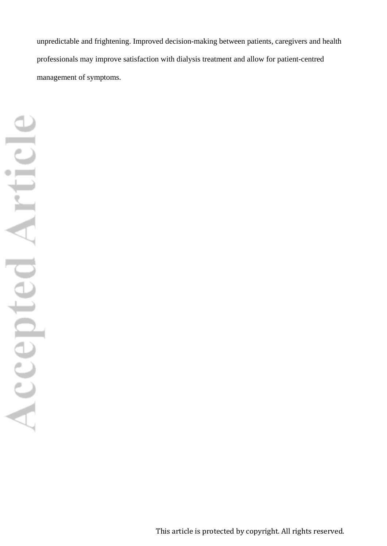unpredictable and frightening. Improved decision-making between patients, caregivers and health professionals may improve satisfaction with dialysis treatment and allow for patient-centred management of symptoms.

This article is protected by copyright. All rights reserved.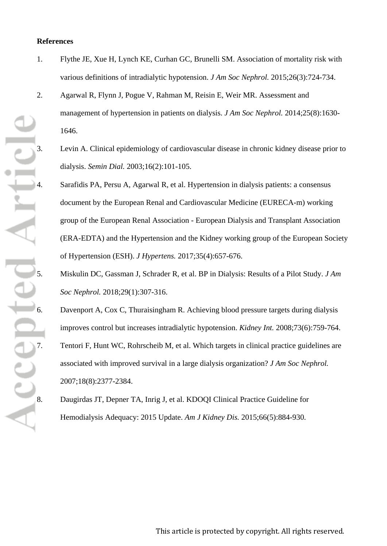# **References**

- 1. Flythe JE, Xue H, Lynch KE, Curhan GC, Brunelli SM. Association of mortality risk with various definitions of intradialytic hypotension. *J Am Soc Nephrol.* 2015;26(3):724-734.
- 2. Agarwal R, Flynn J, Pogue V, Rahman M, Reisin E, Weir MR. Assessment and management of hypertension in patients on dialysis. *J Am Soc Nephrol.* 2014;25(8):1630- 1646.
	- dialysis. *Semin Dial.* 2003;16(2):101-105.
- 3. Levin A. Clinical epidemiology of cardiovascular disease in chronic kidney disease prior to dialysis. *Semin Dial.* 2003;16(2):101-105.<br>
4. Sarafidis PA, Persu A, Agarwal R, et al. Hypertension in dialysis patients: a 4. Sarafidis PA, Persu A, Agarwal R, et al. Hypertension in dialysis patients: a consensus document by the European Renal and Cardiovascular Medicine (EURECA-m) working group of the European Renal Association - European Dialysis and Transplant Association (ERA-EDTA) and the Hypertension and the Kidney working group of the European Society of Hypertension (ESH). *J Hypertens.* 2017;35(4):657-676.
	- 5. Miskulin DC, Gassman J, Schrader R, et al. BP in Dialysis: Results of a Pilot Study. *J Am Soc Nephrol.* 2018;29(1):307-316.
	- Davenport A, Cox C, Thuraisingham R. Achieving blood pressure targets during dialysis improves control but increases intradialytic hypotension. *Kidney Int.* 2008;73(6):759-764.
	- 7. Tentori F, Hunt WC, Rohrscheib M, et al. Which targets in clinical practice guidelines are associated with improved survival in a large dialysis organization? *J Am Soc Nephrol.*  2007;18(8):2377-2384.
	- 8. Daugirdas JT, Depner TA, Inrig J, et al. KDOQI Clinical Practice Guideline for Hemodialysis Adequacy: 2015 Update. *Am J Kidney Dis.* 2015;66(5):884-930.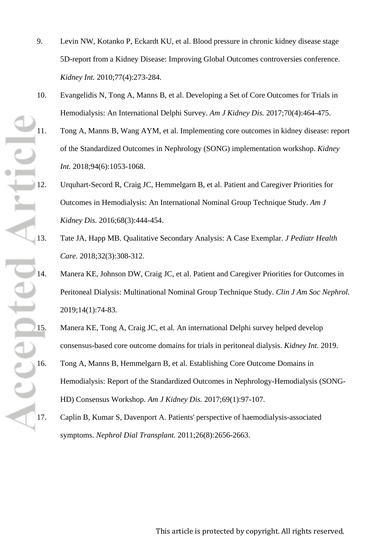- 9. Levin NW, Kotanko P, Eckardt KU, et al. Blood pressure in chronic kidney disease stage 5D-report from a Kidney Disease: Improving Global Outcomes controversies conference. *Kidney Int.* 2010;77(4):273-284.
- 10. Evangelidis N, Tong A, Manns B, et al. Developing a Set of Core Outcomes for Trials in Hemodialysis: An International Delphi Survey. *Am J Kidney Dis.* 2017;70(4):464-475.
- 11. Tong A, Manns B, Wang AYM, et al. Implementing core outcomes in kidney disease: report of the Standardized Outcomes in Nephrology (SONG) implementation workshop. *Kidney Int.* 2018;94(6):1053-1068.
- 12. Urquhart-Secord R, Craig JC, Hemmelgarn B, et al. Patient and Caregiver Priorities for<br>
12. Urquhart-Secord R, Craig JC, Hemmelgarn B, et al. Patient and Caregiver Priorities for<br>
12. Urquhart-Secord R, Craig JC, Hemme Outcomes in Hemodialysis: An International Nominal Group Technique Study. *Am J Kidney Dis.* 2016;68(3):444-454.
	- 13. Tate JA, Happ MB. Qualitative Secondary Analysis: A Case Exemplar. *J Pediatr Health Care.* 2018;32(3):308-312.
	- 14. Manera KE, Johnson DW, Craig JC, et al. Patient and Caregiver Priorities for Outcomes in Peritoneal Dialysis: Multinational Nominal Group Technique Study. *Clin J Am Soc Nephrol.*  2019;14(1):74-83.
	- consensus-based core outcome domains for trials in peritoneal dialysis. *Kidney Int.* 2019.
- 15. Manera KE, Tong A, Craig JC, et al. An international Delphi survey helped develop<br>
15. Manera KE, Tong A, Craig JC, et al. An international Delphi survey helped develop<br>
16. Tong A, Manns B, Hemmelgarn B, et al. Establ 16. Tong A, Manns B, Hemmelgarn B, et al. Establishing Core Outcome Domains in Hemodialysis: Report of the Standardized Outcomes in Nephrology-Hemodialysis (SONG-HD) Consensus Workshop. *Am J Kidney Dis.* 2017;69(1):97-107.
	- 17. Caplin B, Kumar S, Davenport A. Patients' perspective of haemodialysis-associated symptoms. *Nephrol Dial Transplant.* 2011;26(8):2656-2663.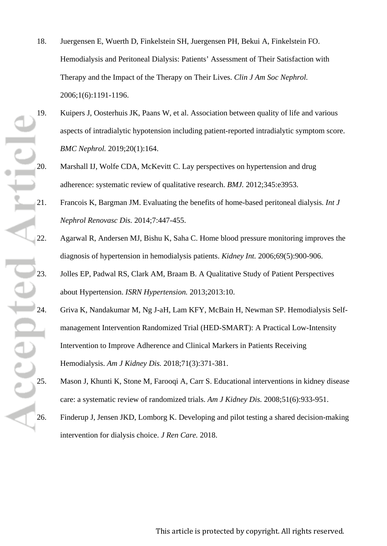- 18. Juergensen E, Wuerth D, Finkelstein SH, Juergensen PH, Bekui A, Finkelstein FO. Hemodialysis and Peritoneal Dialysis: Patients' Assessment of Their Satisfaction with Therapy and the Impact of the Therapy on Their Lives. *Clin J Am Soc Nephrol.*  2006;1(6):1191-1196.
- 19. Kuipers J, Oosterhuis JK, Paans W, et al. Association between quality of life and various aspects of intradialytic hypotension including patient-reported intradialytic symptom score. *BMC Nephrol.* 2019;20(1):164.
- 20. Marshall IJ, Wolfe CDA, McKevitt C. Lay perspectives on hypertension and drug adherence: systematic review of qualitative research. *BMJ.* 2012;345:e3953.
- 21. Francois K, Bargman JM. Evaluating the benefits of home-based peritoneal dialysis. *Int J Nephrol Renovasc Dis.* 2014;7:447-455.
- 22. Agarwal R, Andersen MJ, Bishu K, Saha C. Home blood pressure monitoring improves the diagnosis of hypertension in hemodialysis patients. *Kidney Int.* 2006;69(5):900-906.
- 23. Jolles EP, Padwal RS, Clark AM, Braam B. A Qualitative Study of Patient Perspectives about Hypertension. *ISRN Hypertension.* 2013;2013:10.
- 24. Griva K, Nandakumar M, Ng J-aH, Lam KFY, McBain H, Newman SP. Hemodialysis Self-<br>24. Griva K, Nandakumar M, Ng J-aH, Lam KFY, McBain H, Newman SP. Hemodialysis Self-<br>25. Management Intervention Randomized Trial (HED-SM management Intervention Randomized Trial (HED-SMART): A Practical Low-Intensity Intervention to Improve Adherence and Clinical Markers in Patients Receiving Hemodialysis. *Am J Kidney Dis.* 2018;71(3):371-381.
	- Mason J, Khunti K, Stone M, Farooqi A, Carr S. Educational interventions in kidney disease care: a systematic review of randomized trials. *Am J Kidney Dis.* 2008;51(6):933-951.
	- Finderup J, Jensen JKD, Lomborg K. Developing and pilot testing a shared decision-making intervention for dialysis choice. *J Ren Care.* 2018.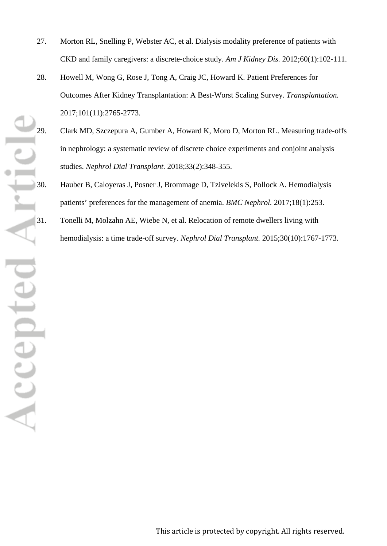- 27. Morton RL, Snelling P, Webster AC, et al. Dialysis modality preference of patients with CKD and family caregivers: a discrete-choice study. *Am J Kidney Dis.* 2012;60(1):102-111.
- 28. Howell M, Wong G, Rose J, Tong A, Craig JC, Howard K. Patient Preferences for Outcomes After Kidney Transplantation: A Best-Worst Scaling Survey. *Transplantation.*  2017;101(11):2765-2773.
- 29. Clark MD, Szczepura A, Gumber A, Howard K, Moro D, Morton RL. Measuring trade-offs in nephrology: a systematic review of discrete choice experiments and conjoint analysis studies. *Nephrol Dial Transplant.* 2018;33(2):348-355.
	- patients' preferences for the management of anemia. *BMC Nephrol.* 2017;18(1):253.
	- 31. Tonelli M, Molzahn AE, Wiebe N, et al. Relocation of remote dwellers living with hemodialysis: a time trade-off survey. *Nephrol Dial Transplant.* 2015;30(10):1767-1773.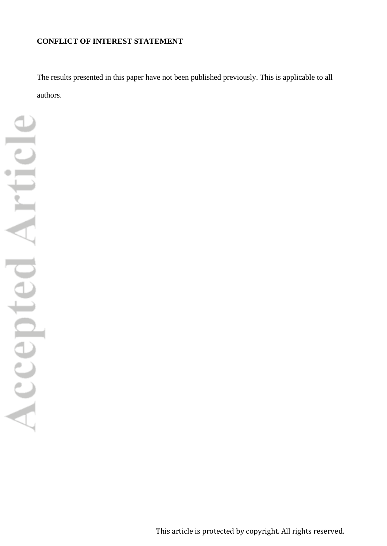# **CONFLICT OF INTEREST STATEMENT**

The results presented in this paper have not been published previously. This is applicable to all authors.

Accepted Article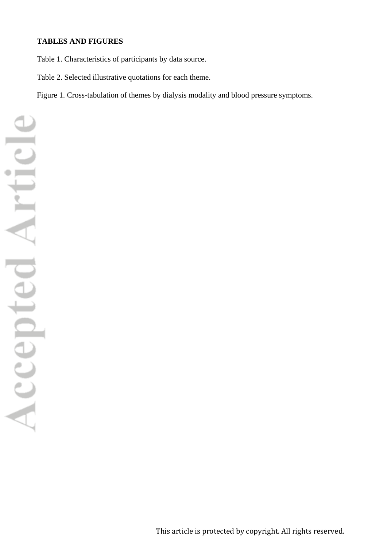# **TABLES AND FIGURES**

Table 1. Characteristics of participants by data source.

Table 2. Selected illustrative quotations for each theme.

Figure 1. Cross-tabulation of themes by dialysis modality and blood pressure symptoms.

Accepted Article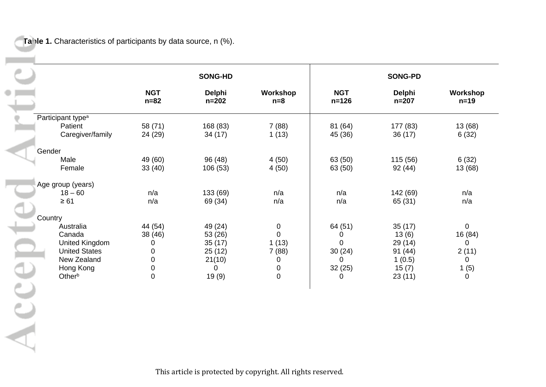**Table 1.** Characteristics of participants by data source, n (%).

۰

Acc

|         |                               |                      | <b>SONG-HD</b>      |                   | <b>SONG-PD</b>          |                     |                    |
|---------|-------------------------------|----------------------|---------------------|-------------------|-------------------------|---------------------|--------------------|
|         |                               | <b>NGT</b><br>$n=82$ | Delphi<br>$n = 202$ | Workshop<br>$n=8$ | <b>NGT</b><br>$n = 126$ | Delphi<br>$n = 207$ | Workshop<br>$n=19$ |
|         | Participant type <sup>a</sup> |                      |                     |                   |                         |                     |                    |
|         | Patient<br>Caregiver/family   | 58 (71)<br>24 (29)   | 168 (83)<br>34(17)  | 7(88)<br>1(13)    | 81 (64)<br>45 (36)      | 177 (83)<br>36(17)  | 13 (68)<br>6(32)   |
| Gender  |                               |                      |                     |                   |                         |                     |                    |
|         | Male                          | 49 (60)              | 96 (48)             | 4(50)             | 63 (50)                 | 115(56)             | 6(32)              |
|         | Female                        | 33(40)               | 106(53)             | 4(50)             | 63 (50)                 | 92(44)              | 13 (68)            |
|         | Age group (years)             |                      |                     |                   |                         |                     |                    |
|         | $18 - 60$                     | n/a                  | 133 (69)            | n/a               | n/a                     | 142 (69)            | n/a                |
|         | $\geq 61$                     | n/a                  | 69 (34)             | n/a               | n/a                     | 65 (31)             | n/a                |
| Country |                               |                      |                     |                   |                         |                     |                    |
|         | Australia                     | 44 (54)              | 49 (24)             | $\mathbf 0$       | 64 (51)                 | 35(17)              | $\mathbf 0$        |
|         | Canada                        | 38 (46)              | 53 (26)             | $\overline{0}$    | 0                       | 13(6)               | 16 (84)            |
|         | <b>United Kingdom</b>         | 0                    | 35(17)              | 1(13)             | $\Omega$                | 29(14)              | 0                  |
|         | <b>United States</b>          | 0                    | 25(12)              | 7(88)             | 30(24)                  | 91(44)              | 2(11)              |
|         | New Zealand                   | 0                    | 21(10)              | 0                 | $\Omega$                | 1(0.5)              | 0                  |
|         | Hong Kong                     | $\pmb{0}$            | 0                   | $\mathbf 0$       | 32(25)                  | 15(7)               | 1(5)               |
|         | Otherb                        | $\mathsf 0$          | 19(9)               | $\mathbf 0$       | $\Omega$                | 23(11)              | 0                  |
|         |                               |                      |                     |                   |                         |                     |                    |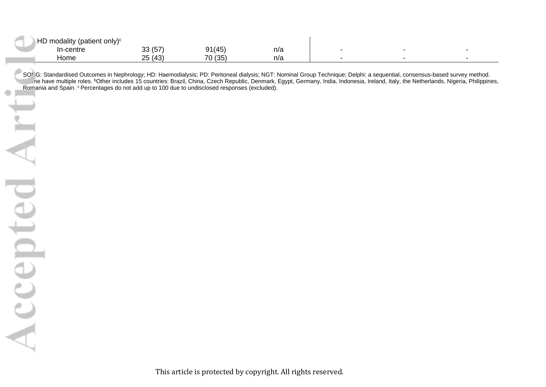| $\triangle$ HD modality (patient only) <sup>c</sup> |                            |         |     |  |  |
|-----------------------------------------------------|----------------------------|---------|-----|--|--|
| า-centre                                            | 22(57)<br>וטו טט           | 91(45)  | n/a |  |  |
| ⊣ome                                                | (A3)<br>OE.<br><b>2017</b> | 70 (35) | n/a |  |  |

SONG: Standardised Outcomes in Nephrology; HD: Haemodialysis; PD: Peritoneal dialysis; NGT: Nominal Group Technique; Delphi: a sequential, consensus-based survey method.<br>The have multiple roles. <sup>b</sup>Other includes 15 countr Romania and Spain. <sup>c</sup> Percentages do not add up to 100 due to undisclosed responses (excluded).

 $\circ$ 

Accepted Art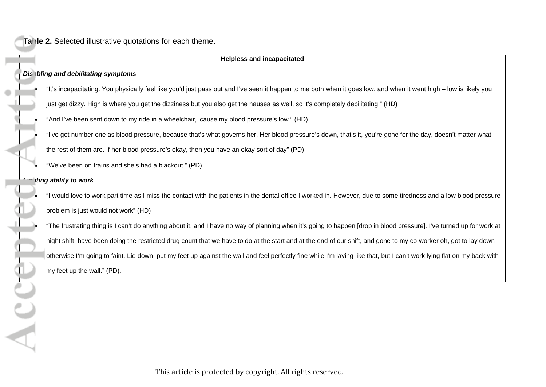#### **Helpless and incapacitated**

### *Dis ibling and debilitating symptoms*

- "It's incapacitating. You physically feel like you'd just pass out and I've seen it happen to me both when it goes low, and when it went high low is likely you just get dizzy. High is where you get the dizziness but you also get the nausea as well, so it's completely debilitating." (HD)
- "And I've been sent down to my ride in a wheelchair, 'cause my blood pressure's low." (HD)
- "I've got number one as blood pressure, because that's what governs her. Her blood pressure's down, that's it, you're gone for the day, doesn't matter what the rest of them are. If her blood pressure's okay, then you have an okay sort of day" (PD)
- "We've been on trains and she's had a blackout." (PD)

## *Limiting ability to work*

• "I would love to work part time as I miss the contact with the patients in the dental office I worked in. However, due to some tiredness and a low blood pressure problem is just would not work" (HD)

• "The frustrating thing is I can't do anything about it, and I have no way of planning when it's going to happen [drop in blood pressure]. I've turned up for work at night shift, have been doing the restricted drug count that we have to do at the start and at the end of our shift, and gone to my co-worker oh, got to lay down otherwise I'm going to faint. Lie down, put my feet up against the wall and feel perfectly fine while I'm laying like that, but I can't work lying flat on my back with my feet up the wall." (PD).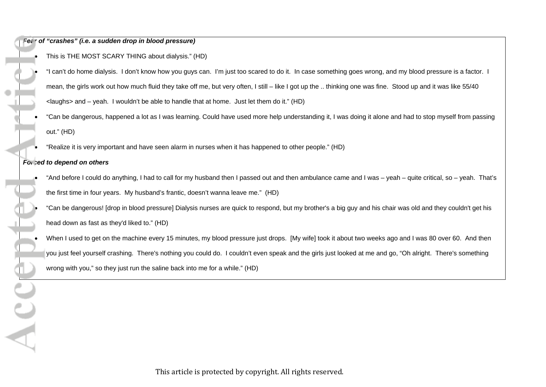## *Fear of "crashes" (i.e. a sudden drop in blood pressure)*

• This is THE MOST SCARY THING about dialysis." (HD)

- "I can't do home dialysis. I don't know how you guys can. I'm just too scared to do it. In case something goes wrong, and my blood pressure is a factor. I mean, the girls work out how much fluid they take off me, but very often, I still – like I got up the .. thinking one was fine. Stood up and it was like 55/40 <laughs> and – yeah. I wouldn't be able to handle that at home. Just let them do it." (HD)
- "Can be dangerous, happened a lot as I was learning. Could have used more help understanding it, I was doing it alone and had to stop myself from passing out." (HD)
- "Realize it is very important and have seen alarm in nurses when it has happened to other people." (HD)

### *Forced to depend on others*

 $\sum_{i=1}^{n}$ 

- "And before I could do anything, I had to call for my husband then I passed out and then ambulance came and I was yeah quite critical, so yeah. That's the first time in four years. My husband's frantic, doesn't wanna leave me." (HD)
- "Can be dangerous! [drop in blood pressure] Dialysis nurses are quick to respond, but my brother's a big guy and his chair was old and they couldn't get his head down as fast as they'd liked to." (HD)
- When I used to get on the machine every 15 minutes, my blood pressure just drops. [My wife] took it about two weeks ago and I was 80 over 60. And then you just feel yourself crashing. There's nothing you could do. I couldn't even speak and the girls just looked at me and go, "Oh alright. There's something wrong with you," so they just run the saline back into me for a while." (HD)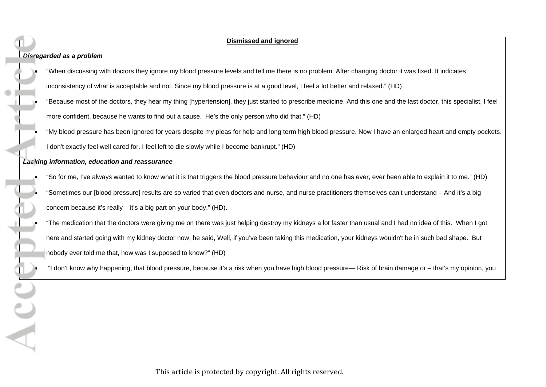**Dismissed and ignored** *Disregarded as a problem* • "When discussing with doctors they ignore my blood pressure levels and tell me there is no problem. After changing doctor it was fixed. It indicates inconsistency of what is acceptable and not. Since my blood pressure is at a good level, I feel a lot better and relaxed." (HD) • "Because most of the doctors, they hear my thing [hypertension], they just started to prescribe medicine. And this one and the last doctor, this specialist, I feel more confident, because he wants to find out a cause. He's the only person who did that." (HD) • "My blood pressure has been ignored for years despite my pleas for help and long term high blood pressure. Now I have an enlarged heart and empty pockets. I don't exactly feel well cared for. I feel left to die slowly while I become bankrupt." (HD) *Lacking information, education and reassurance* • "So for me, I've always wanted to know what it is that triggers the blood pressure behaviour and no one has ever, ever been able to explain it to me." (HD) • "Sometimes our [blood pressure] results are so varied that even doctors and nurse, and nurse practitioners themselves can't understand – And it's a big concern because it's really – it's a big part on your body." (HD). • "The medication that the doctors were giving me on there was just helping destroy my kidneys a lot faster than usual and I had no idea of this. When I got here and started going with my kidney doctor now, he said, Well, if you've been taking this medication, your kidneys wouldn't be in such bad shape. But nobody ever told me that, how was I supposed to know?" (HD) • "I don't know why happening, that blood pressure, because it's a risk when you have high blood pressure— Risk of brain damage or – that's my opinion, you

This article is protected by copyright. All rights reserved.

 $\overline{\Delta}$  C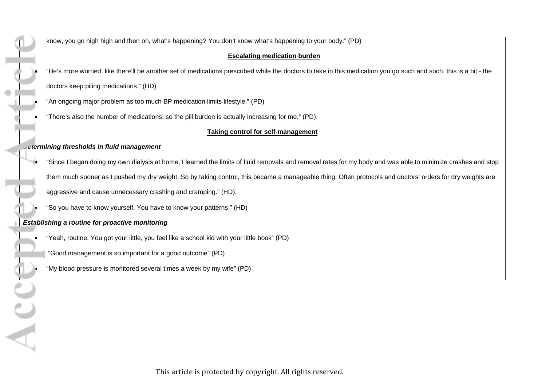know, you go high high and then oh, what's happening? You don't know what's happening to your body." (PD) **Escalating medication burden** • "He's more worried, like there'll be another set of medications prescribed while the doctors to take in this medication you go such and such, this is a bit - the doctors keep piling medications." (HD) • "An ongoing major problem as too much BP medication limits lifestyle." (PD) • "There's also the number of medications, so the pill burden is actually increasing for me." (PD). **Taking control for self-management** *Determining thresholds in fluid management* • "Since I began doing my own dialysis at home, I learned the limits of fluid removals and removal rates for my body and was able to minimize crashes and stop them much sooner as I pushed my dry weight. So by taking control, this became a manageable thing. Often protocols and doctors' orders for dry weights are aggressive and cause unnecessary crashing and cramping." (HD). • "So you have to know yourself. You have to know your patterns." (HD) *Establishing a routine for proactive monitoring* • "Yeah, routine. You got your little, you feel like a school kid with your little book" (PD) • "Good management is so important for a good outcome" (PD) • "My blood pressure is monitored several times a week by my wife" (PD)

 $\Delta$  C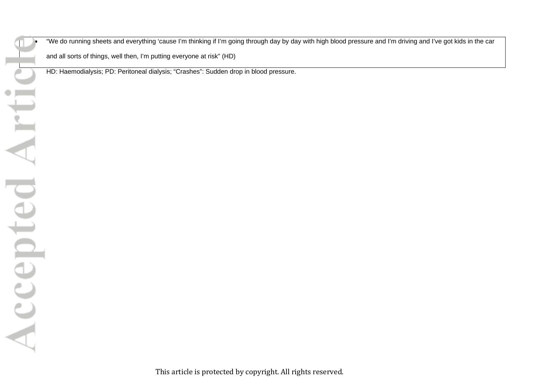• "We do running sheets and everything 'cause I'm thinking if I'm going through day by day with high blood pressure and I'm driving and I've got kids in the car

and all sorts of things, well then, I'm putting everyone at risk" (HD)

HD: Haemodialysis; PD: Peritoneal dialysis; "Crashes": Sudden drop in blood pressure.

Accepted Arti